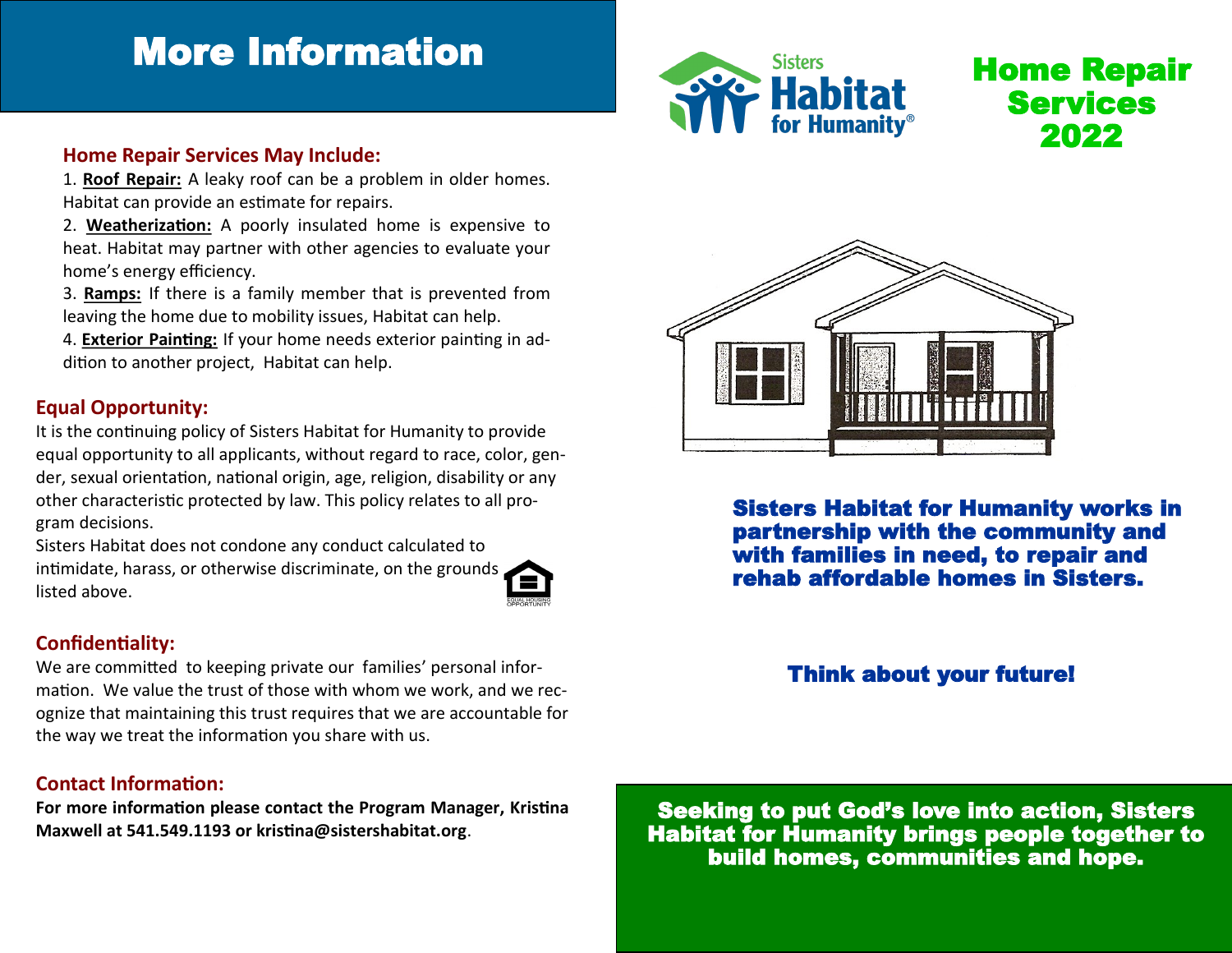# More Information



Home Repair Services 2022

#### **Home Repair Services May Include:**

1. **Roof Repair:** A leaky roof can be a problem in older homes. Habitat can provide an estimate for repairs.

- 2. **Weatherization:** A poorly insulated home is expensive to heat. Habitat may partner with other agencies to evaluate your home's energy efficiency.
- 3. **Ramps:** If there is a family member that is prevented from leaving the home due to mobility issues, Habitat can help.
- 4. **Exterior Painting:** If your home needs exterior painting in addition to another project, Habitat can help.

### **Equal Opportunity:**

It is the continuing policy of Sisters Habitat for Humanity to provide equal opportunity to all applicants, without regard to race, color, gender, sexual orientation, national origin, age, religion, disability or any other characteristic protected by law. This policy relates to all program decisions.

Sisters Habitat does not condone any conduct calculated to intimidate, harass, or otherwise discriminate, on the grounds listed above.



## **Confidentiality:**

We are committed to keeping private our families' personal information. We value the trust of those with whom we work, and we recognize that maintaining this trust requires that we are accountable for the way we treat the information you share with us.

### **Contact Information:**

**For more information please contact the Program Manager, Kristina Maxwell at 541.549.1193 or kristina@sistershabitat.org**.



Sisters Habitat for Humanity works in partnership with the community and with families in need, to repair and rehab affordable homes in Sisters.

## Think about your future!

Seeking to put God's love into action, Sisters Habitat for Humanity brings people together to build homes, communities and hope.